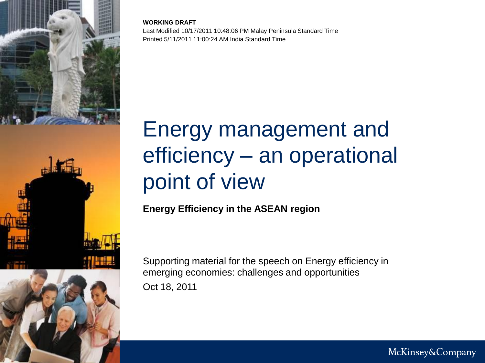

**WORKING DRAFT** Last Modified 10/17/2011 10:48:06 PM Malay Peninsula Standard Time Printed 5/11/2011 11:00:24 AM India Standard Time

# Energy management and efficiency – an operational point of view

**Energy Efficiency in the ASEAN region**

Oct 18, 2011 Supporting material for the speech on Energy efficiency in emerging economies: challenges and opportunities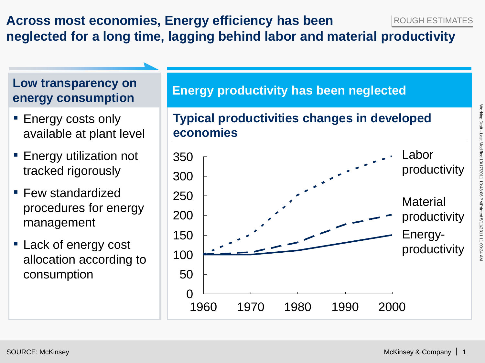#### **Across most economies, Energy efficiency has been neglected for a long time, lagging behind labor and material productivity** ROUGH ESTIMATES

### **Low transparency on energy consumption**

- **Energy costs only** available at plant level
- **Energy utilization not** tracked rigorously
- **Few standardized** procedures for energy management
- **Example 1** Lack of energy cost allocation according to consumption

#### **Energy productivity has been neglected**

#### $\Omega$ 50 100 150 200 250 300 350 1960 1980 2000 **Material** productivity 1980 Energyproductivity Labor productivity **Typical productivities changes in developed economies**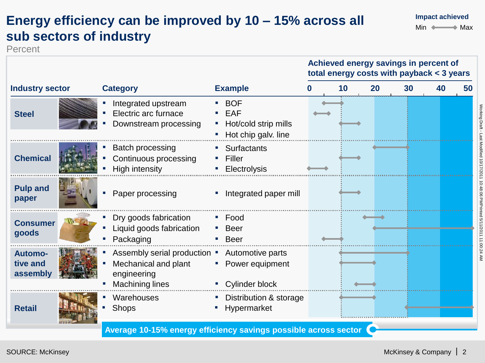# **Energy efficiency can be improved by 10 – 15% across all sub sectors of industry**

Percent



**Impact achieved**

 $Min \longleftrightarrow Max$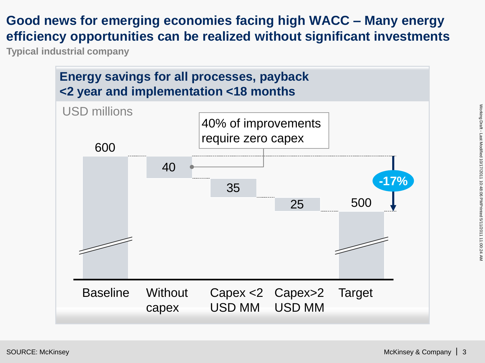#### **Good news for emerging economies facing high WACC – Many energy efficiency opportunities can be realized without significant investments**

**Typical industrial company**

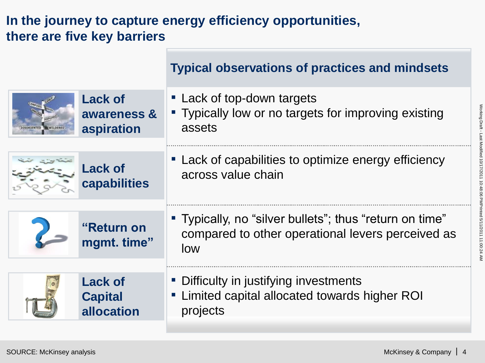## **In the journey to capture energy efficiency opportunities, there are five key barriers**

|                           | <b>Typical observations of practices and mindsets</b>                                                               |
|---------------------------|---------------------------------------------------------------------------------------------------------------------|
| <b>Lack of</b>            | • Lack of top-down targets                                                                                          |
| awareness &               | • Typically low or no targets for improving existing                                                                |
| aspiration                | assets                                                                                                              |
| <b>Lack of</b>            | • Lack of capabilities to optimize energy efficiency                                                                |
| capabilities              | across value chain                                                                                                  |
| "Return on<br>mgmt. time" | " Typically, no "silver bullets"; thus "return on time"<br>compared to other operational levers perceived as<br>low |
| <b>Lack of</b>            | • Difficulty in justifying investments                                                                              |
| <b>Capital</b>            | " Limited capital allocated towards higher ROI                                                                      |
| allocation                | projects                                                                                                            |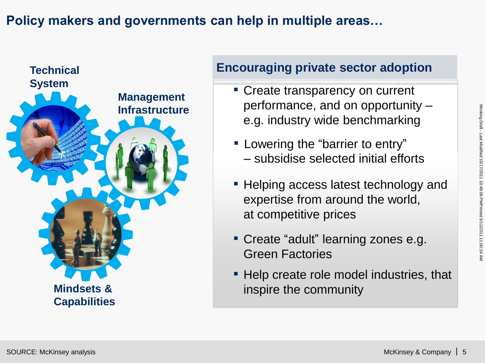### **Policy makers and governments can help in multiple areas…**



#### **Encouraging private sector adoption**

- Create transparency on current performance, and on opportunity – e.g. industry wide benchmarking
- **EXED** Lowering the "barrier to entry" – subsidise selected initial efforts
- Helping access latest technology and expertise from around the world, at competitive prices
- Create "adult" learning zones e.g. Green Factories
- Help create role model industries, that inspire the community